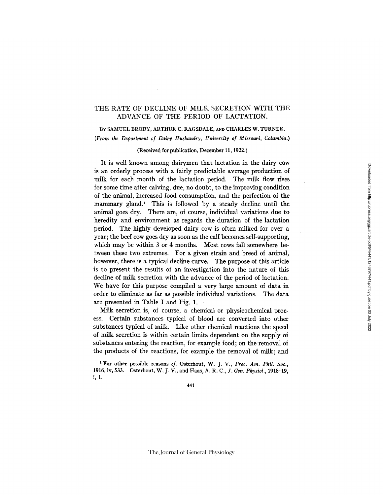## THE RATE OF DECLINE OF MILK SECRETION WITH THE ADVANCE OF THE PERIOD OF LACTATION.

BY SAMUEL BRODY, ARTHUR C. RAGSDALE, AND CHARLES W. TURNER. *(From the Department of Dairy Husbandry, University of Missouri, Columbia.)* 

(Received for publication, December 11, 1922.)

It is well known among dairymen that lactation in the dairy cow is an orderly process with a fairly predictable average production of milk for each month of the lactation period. The milk flow rises for some time after calving, due, no doubt, to the improving condition of the animal, increased food consumption, and the perfection of the mammary gland.<sup>1</sup> This is followed by a steady decline until the animal goes dry. There are, of course, individual variations due to heredity and environment as regards the duration of the lactation period. The highly developed dairy cow is often milked for over a year; the beef cow goes dry as soon as the calf becomes self-supporting, which may be within 3 or 4 months. Most cows fall somewhere between these two extremes. For a given strain and breed of animal, however, there is a typical decline curve. The purpose of this article is to present the results of an investigation into the nature of this decline of milk secretion with the advance of the period of lactation. We have for this purpose compiled a very large amount of data in order to eliminate as far as possible individual variations. The data are presented in Table I and Fig. 1.

Milk secretion is, of course, a chemical or physicochemical process. Certain substances typical of blood are converted into other substances typical of milk. Like other chemical reactions the speed of milk secretion is within certain limits dependent on the supply of substances entering the reaction, for example food; on the removal of the products of the reactions, for example the removal of milk; and

1 For other possible reasons *cf.* Osterhout, W. J. V., *Proc. Am. Phil. Sot.,*  1916, Iv, 533. Osterhout, W. J. V., and Haas, *A. R. C., J. Gen. Physiol.,* 1918-19, i, 1.

441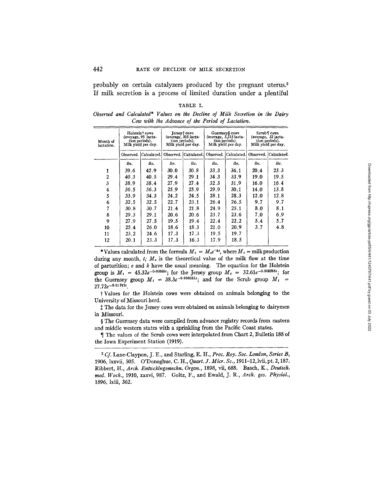probably on certain catalyzers produced by the pregnant uterus.<sup>2</sup> If milk secretion is a process of limited duration under a plentiful

| BLE.<br>А. |  |
|------------|--|
|            |  |

*Observed and Calculated\* Values on the Decline of Milk Secretion in the Dairy Cow with the Advance of the Period of Lactation.* 

| Month of<br>lactation. | Holstein <sup>†</sup> cows<br>(average, 95 lacta-<br>tion periods).<br>Milk yield per day. |             | Jersey† cows<br>(average, 305 lacta-<br>tion periods).<br>Milk yield per day. |                       | Guernsey§ cows<br>$(average, 3.215)$ acta-<br>tion periods).<br>Milk yield per day. |                       | Scrub i cows<br>(average, 32 lacta-<br>tion periods).<br>Milk yield per day. |                         |
|------------------------|--------------------------------------------------------------------------------------------|-------------|-------------------------------------------------------------------------------|-----------------------|-------------------------------------------------------------------------------------|-----------------------|------------------------------------------------------------------------------|-------------------------|
|                        | Observed.                                                                                  | Calculated. |                                                                               | Observed. Calculated. |                                                                                     | Observed. Calculated. |                                                                              | Observed. [Calculated.] |
|                        | lbs.                                                                                       | lbs.        | lbs.                                                                          | lbs.                  | lbs.                                                                                | lbs.                  | lbs.                                                                         | lbs.                    |
|                        | 39.6                                                                                       | 42.9        | 30.0                                                                          | 30.8                  | 33.3                                                                                | 36.1                  | 20.4                                                                         | 23.3                    |
| 2                      | 40.3                                                                                       | 40.5        | 29.4                                                                          | 29.1                  | 34.3                                                                                | 33.9                  | 19.0                                                                         | 19.5                    |
| 3                      | 38.9                                                                                       | 38.4        | 27.9                                                                          | 27.4                  | 32.3                                                                                | 31.9                  | 16.0                                                                         | 16.4                    |
| 4                      | 36.5                                                                                       | 36.3        | 25.9                                                                          | 25.9                  | 29.9                                                                                | 30.1                  | 14.0                                                                         | 13.8                    |
| 5                      | 33.9                                                                                       | 34.3        | 24.2                                                                          | 24.5                  | 28.1                                                                                | 28.3                  | 12.0                                                                         | 12.8                    |
| 6                      | 32.5                                                                                       | 32.5        | 22.7                                                                          | 23.1                  | 26.4                                                                                | 26.5                  | 9.7                                                                          | 9.7                     |
| 7                      | 30.8                                                                                       | 30.7        | 21.4                                                                          | 21.8                  | 24.9                                                                                | 25.1                  | 8.0                                                                          | 8.1                     |
| 8                      | 29.3                                                                                       | 29.1        | 20.6                                                                          | 20.6                  | 23.7                                                                                | 23.6                  | 7.0                                                                          | 6.9                     |
| 9                      | 27.9                                                                                       | 27.5        | 19.5                                                                          | 19.4                  | 22.4                                                                                | 22.2                  | 5.4                                                                          | 5.7                     |
| 10                     | 25.4                                                                                       | 26.0        | 18.6                                                                          | 18.3                  | 21.0                                                                                | 20.9                  | 3.7                                                                          | 4.8                     |
| 11                     | 23.2                                                                                       | 24.6        | 17.3                                                                          | 17.3                  | 19.5                                                                                | 19.7                  |                                                                              |                         |
| 12                     | 20.1                                                                                       | 23.3        | 17.3                                                                          | 16.3                  | 17.9                                                                                | 18.5                  |                                                                              |                         |

\*Values calculated from the formula  $M_i = M_o e^{-kt}$ , where  $M_i =$  milk production during any month,  $t$ ;  $M<sub>o</sub>$  is the theoretical value of the milk flow at the time of parturition;  $e$  and  $k$  have the usual meaning. The equation for the Holstein group is  $M_t = 45.32e^{-0.00555t}$ ; for the Jersey group  $M_t = 32.61e^{-0.005758t}$ ; for the Guernsey group  $M_t = 38.3e^{-0.006051t}$ ; and for the Scrub group  $M_t =$  $27.72e^{-0.01747t}$ .

t Values for the Holstein cows were obtained on animals belonging to the University of Missouri herd.

 $\ddagger$  The data for the Jersey cows were obtained on animals belonging to dairymen in Missouri.

§ The Guernsey data were compiled from advance registry records from eastern and middle western states with a sprinkling from the Pacific Coast states.

¶ The values of the Scrub cows were interpolated from Chart 2, Bulletin 188 of the Iowa Experiment Station (1919).

*Cf.* Lane-Claypon, J. *E.,* and Starling, E. H., *Proc. Roy. Soc. London, Series B,*  1906, lxxvii, 505. O'Donoghue, *C. H., Quart. J. Micr. Sc.,* 1911-12,1vii, pt. 2,187. Ribbert, H., Arch. Entwcklngsmechn. Organ., 1898, vii, 688. Basch, K., Deutsch. *reed. Woch.,* 1910, xxxvi, 987. Goltz, F., and Ewald, J. R., *Arch. ges. Physiol.,*  1896, lxiii, 362.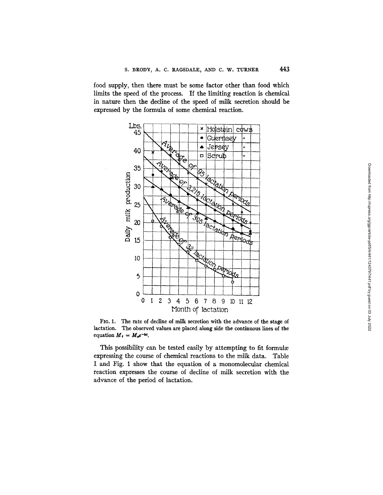food supply, then there must be some factor other than food which limits the speed of the process. If the limiting reaction is chemical in nature then the decline of the speed of milk secretion should be expressed by the formula of some chemical reaction.



FIo. 1. The rate of decline of milk secretion with the advance of the stage of lactation. The observed values are placed along side the continuous lines of the equation  $M_t = M_{\nu}e^{-kt}$ .

This possibility can be tested easily by attempting to fit formula expressing the course of chemical reactions to the milk data. Table I and Fig. 1 show that the equation of a monomolecular chemical reaction expresses the course of decline of milk secretion with the advance of the period of lactation.